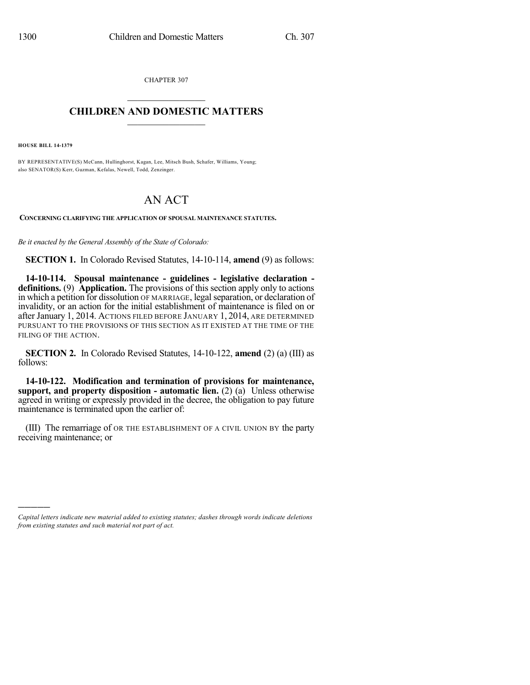CHAPTER 307  $\mathcal{L}_\text{max}$  . The set of the set of the set of the set of the set of the set of the set of the set of the set of the set of the set of the set of the set of the set of the set of the set of the set of the set of the set

## **CHILDREN AND DOMESTIC MATTERS**  $\_$

**HOUSE BILL 14-1379**

)))))

BY REPRESENTATIVE(S) McCann, Hullinghorst, Kagan, Lee, Mitsch Bush, Schafer, Williams, Young; also SENATOR(S) Kerr, Guzman, Kefalas, Newell, Todd, Zenzinger.

## AN ACT

**CONCERNING CLARIFYING THE APPLICATION OF SPOUSAL MAINTENANCE STATUTES.**

*Be it enacted by the General Assembly of the State of Colorado:*

**SECTION 1.** In Colorado Revised Statutes, 14-10-114, **amend** (9) as follows:

**14-10-114. Spousal maintenance - guidelines - legislative declaration definitions.** (9) **Application.** The provisions of this section apply only to actions in which a petition for dissolution OF MARRIAGE, legal separation, or declaration of invalidity, or an action for the initial establishment of maintenance is filed on or after January 1, 2014. ACTIONS FILED BEFORE JANUARY 1, 2014, ARE DETERMINED PURSUANT TO THE PROVISIONS OF THIS SECTION AS IT EXISTED AT THE TIME OF THE FILING OF THE ACTION.

**SECTION 2.** In Colorado Revised Statutes, 14-10-122, **amend** (2) (a) (III) as follows:

**14-10-122. Modification and termination of provisions for maintenance, support, and property disposition - automatic lien.** (2) (a) Unless otherwise agreed in writing or expressly provided in the decree, the obligation to pay future maintenance is terminated upon the earlier of:

(III) The remarriage of OR THE ESTABLISHMENT OF A CIVIL UNION BY the party receiving maintenance; or

*Capital letters indicate new material added to existing statutes; dashes through words indicate deletions from existing statutes and such material not part of act.*